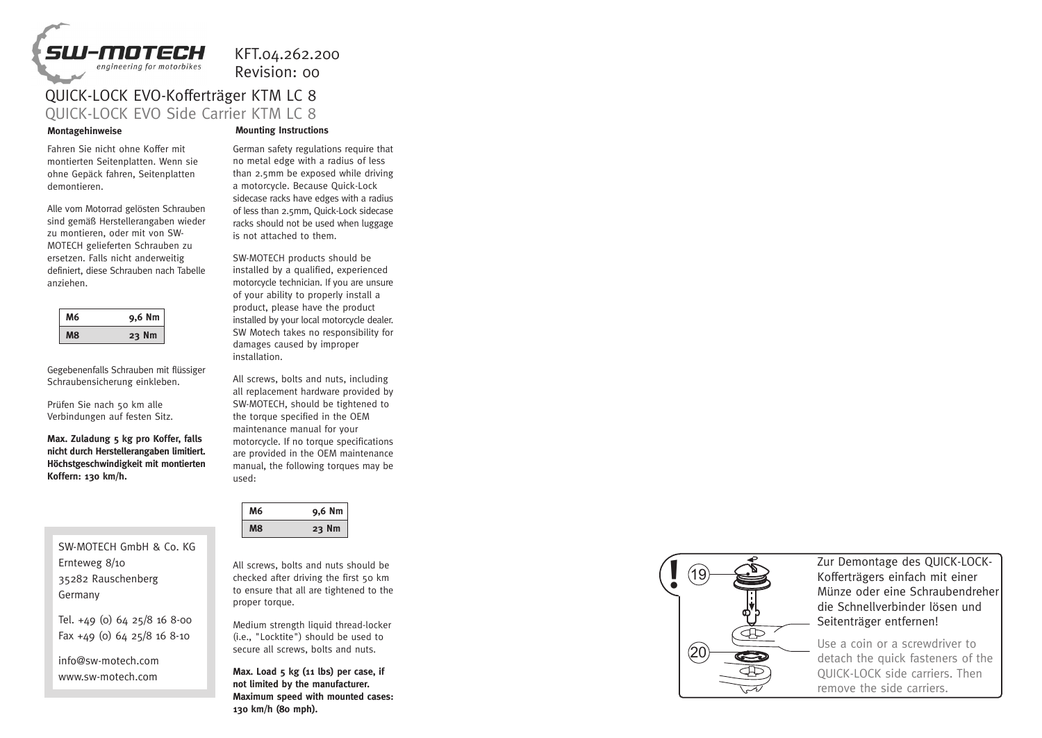

KFT.04.262.200

Revision: 00

## QUICK-LOCK EVO-Kofferträger KTM LC 8 QUICK-LOCK EVO Side Carrier KTM LC 8

Fahren Sie nicht ohne Koffer mit montierten Seitenplatten. Wenn sie ohne Gepäck fahren, Seitenplatten demontieren.

Alle vom Motorrad gelösten Schrauben sind gemäß Herstellerangaben wieder zu montieren, oder mit von SW-MOTECH gelieferten Schrauben zu ersetzen. Falls nicht anderweitig definiert, diese Schrauben nach Tabelle anziehen.

| б | 9,6 Nm   |
|---|----------|
|   | 23<br>١m |

Gegebenenfalls Schrauben mit flüssiger Schraubensicherung einkleben.

Prüfen Sie nach 50 km alle Verbindungen auf festen Sitz.

**Max. Zuladung 5 kg pro Koffer, falls nicht durch Herstellerangaben limitiert. Höchstgeschwindigkeit mit montierten Koffern: 130 km/h.**

SW-MOTECH GmbH & Co. KG Ernteweg 8/10 35282 Rauschenberg Germany

Tel. +49 (0) 64 25/8 16 8-00 Fax +49 (0) 64 25/8 16 8-10

info@sw-motech.com www.sw-motech.com

## **Montagehinweise Mounting Instructions**

German safety regulations require that no metal edge with a radius of less than 2.5mm be exposed while driving a motorcycle. Because Quick-Lock sidecase racks have edges with a radius of less than 2.5mm, Quick-Lock sidecase racks should not be used when luggage is not attached to them.

SW-MOTECH products should be installed by a qualified, experienced motorcycle technician. If you are unsure of your ability to properly install a product, please have the product installed by your local motorcycle dealer. SW Motech takes no responsibility for damages caused by improper installation.

All screws, bolts and nuts, including all replacement hardware provided by SW-MOTECH, should be tightened to the torque specified in the OEM maintenance manual for your motorcycle. If no torque specifications are provided in the OEM maintenance manual, the following torques may be used:

| И6 | 9,6 Nm |
|----|--------|
|    | 23     |

All screws, bolts and nuts should be checked after driving the first 50 km to ensure that all are tightened to the proper torque.

Medium strength liquid thread-locker (i.e., "Locktite") should be used to secure all screws, bolts and nuts.

**Max. Load 5 kg (11 lbs) per case, if not limited by the manufacturer. Maximum speed with mounted cases: 130 km/h (80 mph).**



Zur Demontage des QUICK-LOCK-Kofferträgers einfach mit einer Münze oder eine Schraubendreher die Schnellverbinder lösen und Seitenträger entfernen!

Use a coin or a screwdriver to detach the quick fasteners of the QUICK-LOCK side carriers. Then remove the side carriers.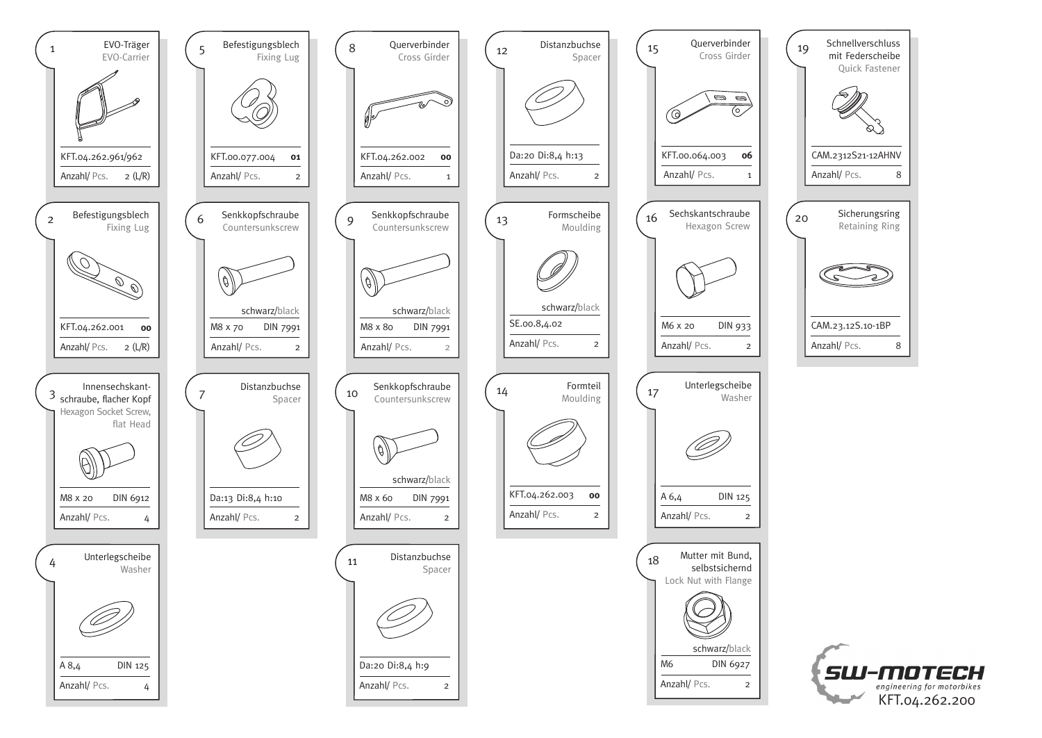